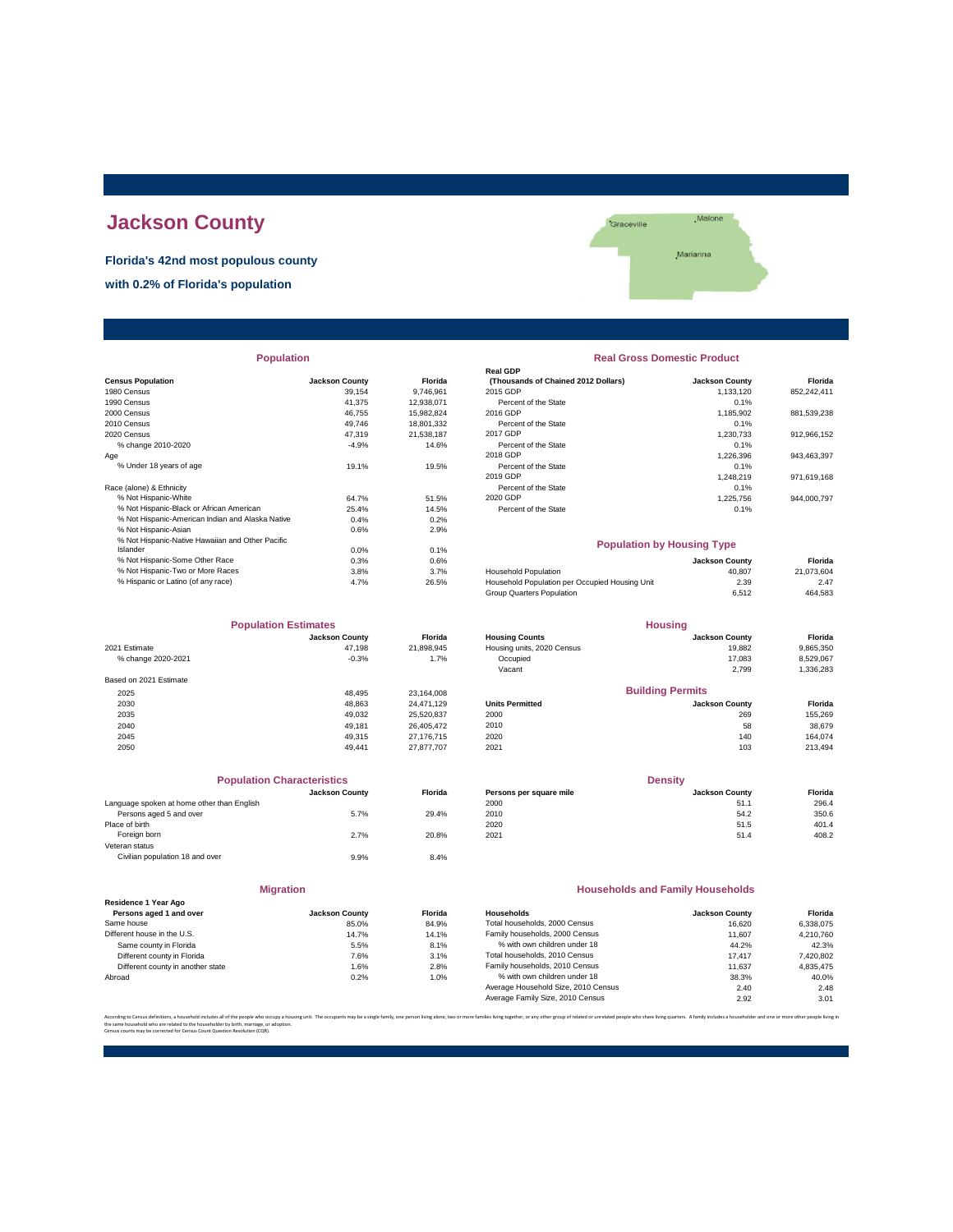# **Jackson County**

**Florida's 42nd most populous county with 0.2% of Florida's population**



| <b>Population</b> |                                 | <b>Real Gross Domestic Product</b>        |                                     |
|-------------------|---------------------------------|-------------------------------------------|-------------------------------------|
|                   |                                 | <b>Real GDP</b>                           | <b>Jackson County</b>               |
|                   |                                 | 2015 GDP                                  | 1.133.120                           |
| 41.375            |                                 | Percent of the State                      | 0.1%                                |
| 46.755            | 15,982,824                      | 2016 GDP                                  | 1,185,902                           |
| 49.746            | 18,801,332                      | Percent of the State                      | 0.1%                                |
| 47.319            | 21.538.187                      | 2017 GDP                                  | 1,230,733                           |
| $-4.9%$           | 14.6%                           | Percent of the State                      | 0.1%                                |
|                   |                                 | 2018 GDP                                  | 1,226,396                           |
| 19.1%             | 19.5%                           | Percent of the State                      | 0.1%                                |
|                   |                                 | 2019 GDP                                  | 1.248.219                           |
|                   |                                 | Percent of the State                      | 0.1%                                |
| 64.7%             | 51.5%                           | 2020 GDP                                  | 1.225.756                           |
| 25.4%             | 14.5%                           | Percent of the State                      | 0.1%                                |
| 0.4%              | 0.2%                            |                                           |                                     |
| 0.6%              | 2.9%                            |                                           |                                     |
|                   |                                 |                                           | <b>Population by Housing Type</b>   |
| 0.0%              | 0.1%                            |                                           |                                     |
|                   | <b>Jackson County</b><br>39.154 | <b>Florida</b><br>9.746.961<br>12,938,071 | (Thousands of Chained 2012 Dollars) |

| <b>Population Estimates</b> |                       | <b>Housing</b> |                            |                         |           |
|-----------------------------|-----------------------|----------------|----------------------------|-------------------------|-----------|
|                             | <b>Jackson County</b> | Florida        | <b>Housing Counts</b>      | <b>Jackson County</b>   | Florida   |
| 2021 Estimate               | 47.198                | 21,898,945     | Housing units, 2020 Census | 19,882                  | 9,865,350 |
| % change 2020-2021          | $-0.3%$               | 1.7%           | Occupied                   | 17.083                  | 8,529,067 |
|                             |                       |                | Vacant                     | 2,799                   | 1,336,283 |
| Based on 2021 Estimate      |                       |                |                            |                         |           |
| 2025                        | 48.495                | 23,164,008     |                            | <b>Building Permits</b> |           |
| 2030                        | 48.863                | 24.471.129     | <b>Units Permitted</b>     | <b>Jackson County</b>   | Florida   |
| 2035                        | 49.032                | 25.520.837     | 2000                       | 269                     | 155,269   |
| 2040                        | 49.181                | 26.405.472     | 2010                       | 58                      | 38.679    |
| 2045                        | 49.315                | 27.176.715     | 2020                       | 140                     | 164,074   |
| 2050                        | 49.441                | 27.877.707     | 2021                       | 103                     | 213,494   |

| <b>Population Characteristics</b>          |                       |         | <b>Density</b>          |                       |         |  |
|--------------------------------------------|-----------------------|---------|-------------------------|-----------------------|---------|--|
|                                            | <b>Jackson County</b> | Florida | Persons per square mile | <b>Jackson County</b> | Florida |  |
| Language spoken at home other than English |                       |         | 2000                    | 51.1                  | 296.4   |  |
| Persons aged 5 and over                    | 5.7%                  | 29.4%   | 2010                    | 54.2                  | 350.6   |  |
| Place of birth                             |                       |         | 2020                    | 51.5                  | 401.4   |  |
| Foreign born                               | 2.7%                  | 20.8%   | 2021                    | 51.4                  | 408.2   |  |
| Veteran status                             |                       |         |                         |                       |         |  |
| Civilian population 18 and over            | 9.9%                  | 8.4%    |                         |                       |         |  |
|                                            |                       |         |                         |                       |         |  |

|                                                 | <b>Migration</b>      |                |
|-------------------------------------------------|-----------------------|----------------|
| Residence 1 Year Ago<br>Persons aged 1 and over | <b>Jackson County</b> | Florid         |
| Same house                                      | 85.0%                 | 84.9           |
| Different house in the U.S.                     | 14.7%                 | $14.1^{\circ}$ |
| Same county in Florida                          | 5.5%                  | $8.1^{\circ}$  |
| Different county in Florida                     | 7.6%                  | $3.1^{\circ}$  |
| Different county in another state               | 1.6%                  | $2.8^{\circ}$  |
| Abroad                                          | 0.2%                  | $1.0^{\circ}$  |

### **Real Gross Domestic Product**

|                                                   |                       |            | <b>Real GDP</b>                     |                       |             |
|---------------------------------------------------|-----------------------|------------|-------------------------------------|-----------------------|-------------|
| <b>Census Population</b>                          | <b>Jackson County</b> | Florida    | (Thousands of Chained 2012 Dollars) | <b>Jackson County</b> | Florida     |
| 1980 Census                                       | 39.154                | 9.746.961  | 2015 GDP                            | 1.133.120             | 852.242.411 |
| 1990 Census                                       | 41.375                | 12.938.071 | Percent of the State                | 0.1%                  |             |
| 2000 Census                                       | 46.755                | 15.982.824 | 2016 GDP                            | 1.185.902             | 881,539,238 |
| 2010 Census                                       | 49.746                | 18,801,332 | Percent of the State                | 0.1%                  |             |
| 2020 Census                                       | 47.319                | 21.538.187 | 2017 GDP                            | 1.230.733             | 912.966.152 |
| % change 2010-2020                                | $-4.9%$               | 14.6%      | Percent of the State                | 0.1%                  |             |
| Aae                                               |                       |            | 2018 GDP                            | 1.226.396             | 943.463.397 |
| % Under 18 years of age                           | 19.1%                 | 19.5%      | Percent of the State                | 0.1%                  |             |
|                                                   |                       |            | 2019 GDP                            | 1.248.219             | 971.619.168 |
| Race (alone) & Ethnicity                          |                       |            | Percent of the State                | 0.1%                  |             |
| % Not Hispanic-White                              | 64.7%                 | 51.5%      | 2020 GDP                            | 1.225.756             | 944.000.797 |
| % Not Hispanic-Black or African American          | 25.4%                 | 14.5%      | Percent of the State                | 0.1%                  |             |
| 96 Not Hiepanic American Indian and Algeka Native | 0.401                 | 0.291      |                                     |                       |             |

#### **Population by Housing Type**

| 0.0% | 0.1%  |                                                |                       |                                                                 |
|------|-------|------------------------------------------------|-----------------------|-----------------------------------------------------------------|
| 0.3% | 0.6%  |                                                | <b>Jackson County</b> | Florida                                                         |
| 3.8% | 3.7%  | <b>Household Population</b>                    | 40.807                | 21.073.604                                                      |
| 4.7% | 26.5% | Household Population per Occupied Housing Unit | 2.39                  | 2.47                                                            |
|      |       | Group Quarters Population                      | 6.512                 | 464,583                                                         |
|      |       |                                                |                       | $\cdots$ , $\cdots$ , $\cdots$ , $\cdots$ , $\cdots$ , $\cdots$ |

| <b>Population Estimates</b> |                       | <b>Housing</b> |                            |                       |           |
|-----------------------------|-----------------------|----------------|----------------------------|-----------------------|-----------|
|                             | <b>Jackson County</b> | <b>Florida</b> | <b>Housing Counts</b>      | <b>Jackson County</b> | Florida   |
| 2021 Estimate               | 47.198                | 21.898.945     | Housing units, 2020 Census | 19,882                | 9,865,350 |
| % change 2020-2021          | $-0.3%$               | 1.7%           | Occupied                   | 17.083                | 8,529,067 |
|                             |                       |                | Vacant                     | 2.799                 | 1,336,283 |
| Based on 2021 Estimate      |                       |                |                            |                       |           |
| 2025                        | 48.495                | 23.164.008     | <b>Building Permits</b>    |                       |           |
| 2030                        | 48.863                | 24.471.129     | <b>Units Permitted</b>     | <b>Jackson County</b> | Florida   |
| 2035                        | 49.032                | 25.520.837     | 2000                       | 269                   | 155.269   |
|                             |                       |                |                            |                       |           |

| <b>Population Characteristics</b>          |                       |                |                         | <b>Density</b>        |         |
|--------------------------------------------|-----------------------|----------------|-------------------------|-----------------------|---------|
|                                            | <b>Jackson County</b> | <b>Florida</b> | Persons per square mile | <b>Jackson County</b> | Florida |
| Language spoken at home other than English |                       |                | 2000                    | 51.1                  | 296.4   |
| Persons aged 5 and over                    | 5.7%                  | 29.4%          | 2010                    | 54.2                  | 350.6   |
| Place of birth                             |                       |                | 2020                    | 51.5                  | 401.4   |
|                                            |                       |                |                         |                       |         |

#### **Households and Family Households**

| <b>Jackson County</b> | <b>Florida</b> | Households                          | <b>Jackson County</b> | Florida   |
|-----------------------|----------------|-------------------------------------|-----------------------|-----------|
| 85.0%                 | 84.9%          | Total households, 2000 Census       | 16.620                | 6,338,075 |
| 14.7%                 | 14.1%          | Family households, 2000 Census      | 11.607                | 4.210.760 |
| 5.5%                  | 8.1%           | % with own children under 18        | 44.2%                 | 42.3%     |
| 7.6%                  | 3.1%           | Total households, 2010 Census       | 17.417                | 7.420.802 |
| 1.6%                  | 2.8%           | Family households, 2010 Census      | 11.637                | 4.835.475 |
| 0.2%                  | 1.0%           | % with own children under 18        | 38.3%                 | 40.0%     |
|                       |                | Average Household Size, 2010 Census | 2.40                  | 2.48      |
|                       |                | Average Family Size, 2010 Census    | 2.92                  | 3.01      |
|                       |                |                                     |                       |           |

.<br>In families living together, or any other group of related or unrelated people who share living quarters. A family includes a householder and one or more other per the same household who are related to the householder by birth, marriage, or adoption. Census counts may be corrected for Census Count Question Resolution (CQR).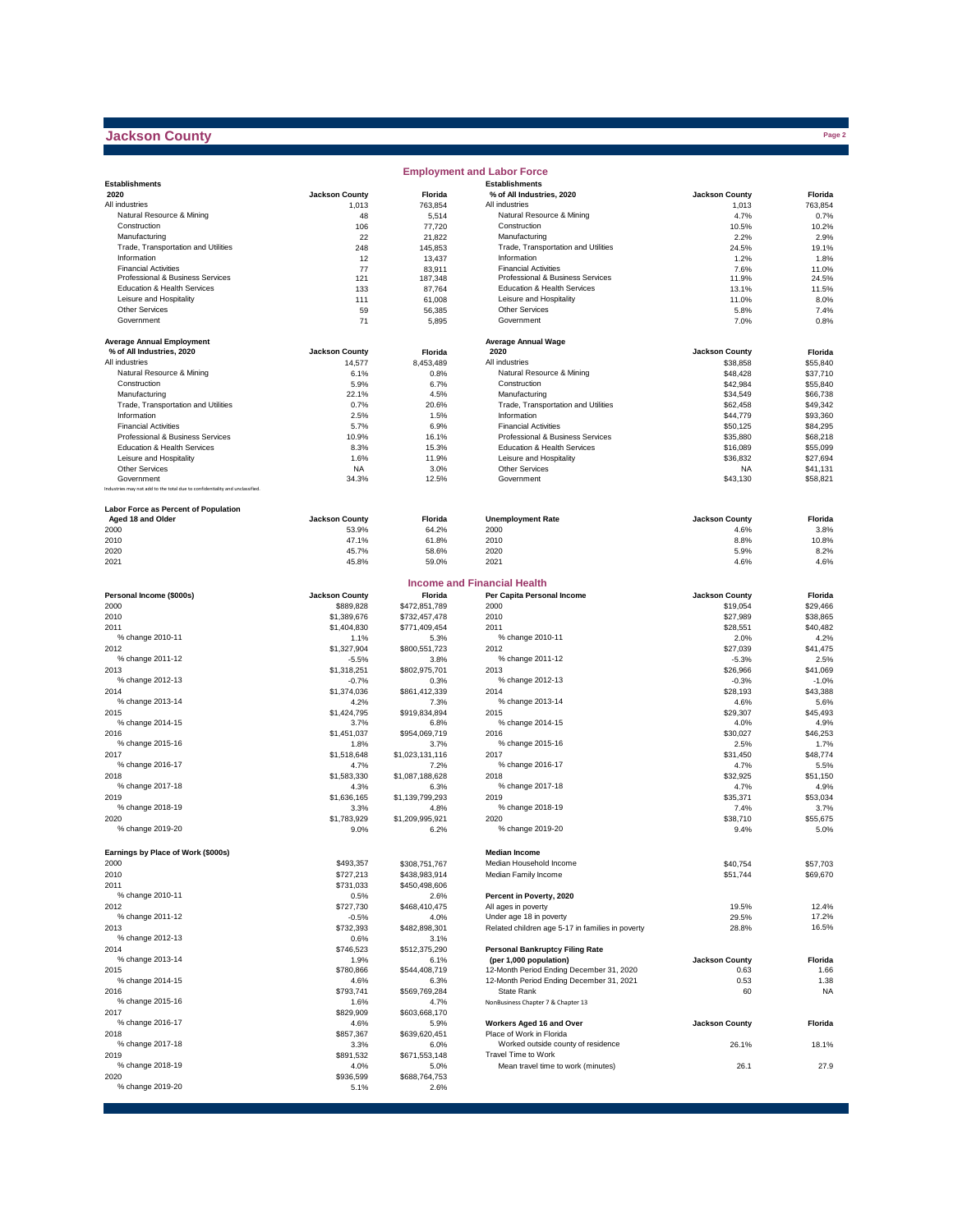# **Jackson County**

|                                                                              |                       |                         | <b>Employment and Labor Force</b>                  |                       |                  |
|------------------------------------------------------------------------------|-----------------------|-------------------------|----------------------------------------------------|-----------------------|------------------|
| <b>Establishments</b>                                                        |                       |                         | <b>Establishments</b>                              |                       |                  |
| 2020                                                                         | <b>Jackson County</b> | Florida                 | % of All Industries, 2020                          | <b>Jackson County</b> | Florida          |
| All industries                                                               | 1,013                 | 763,854                 | All industries                                     | 1,013                 | 763,854          |
| Natural Resource & Mining                                                    | 48                    | 5,514                   | Natural Resource & Mining                          | 4.7%                  | 0.7%             |
| Construction                                                                 | 106                   | 77,720                  | Construction                                       | 10.5%                 | 10.2%            |
| Manufacturing                                                                | 22                    | 21,822                  | Manufacturing                                      | 2.2%                  | 2.9%             |
| Trade, Transportation and Utilities<br>Information                           | 248                   | 145,853                 | Trade, Transportation and Utilities<br>Information | 24.5%                 | 19.1%            |
| <b>Financial Activities</b>                                                  | 12<br>77              | 13,437<br>83,911        | <b>Financial Activities</b>                        | 1.2%<br>7.6%          | 1.8%<br>11.0%    |
| Professional & Business Services                                             | 121                   | 187,348                 | Professional & Business Services                   | 11.9%                 | 24.5%            |
| Education & Health Services                                                  | 133                   | 87,764                  | Education & Health Services                        | 13.1%                 | 11.5%            |
| Leisure and Hospitality                                                      | 111                   | 61,008                  | Leisure and Hospitality                            | 11.0%                 | 8.0%             |
| <b>Other Services</b>                                                        | 59                    | 56,385                  | Other Services                                     | 5.8%                  | 7.4%             |
| Government                                                                   | 71                    | 5,895                   | Government                                         | 7.0%                  | 0.8%             |
|                                                                              |                       |                         |                                                    |                       |                  |
| <b>Average Annual Employment</b>                                             |                       |                         | <b>Average Annual Wage</b>                         |                       |                  |
| % of All Industries, 2020                                                    | <b>Jackson County</b> | Florida                 | 2020                                               | <b>Jackson County</b> | Florida          |
| All industries                                                               | 14,577                | 8,453,489               | All industries                                     | \$38,858              | \$55,840         |
| Natural Resource & Mining                                                    | 6.1%                  | 0.8%                    | Natural Resource & Mining                          | \$48,428              | \$37,710         |
| Construction                                                                 | 5.9%                  | 6.7%                    | Construction                                       | \$42,984              | \$55,840         |
| Manufacturing                                                                | 22.1%                 | 4.5%                    | Manufacturing                                      | \$34,549              | \$66,738         |
| Trade, Transportation and Utilities                                          | 0.7%                  | 20.6%                   | Trade, Transportation and Utilities                | \$62,458              | \$49,342         |
| Information                                                                  | 2.5%                  | 1.5%                    | Information                                        | \$44,779              | \$93,360         |
| <b>Financial Activities</b>                                                  | 5.7%                  | 6.9%                    | <b>Financial Activities</b>                        | \$50,125              | \$84,295         |
| Professional & Business Services                                             | 10.9%                 | 16.1%                   | Professional & Business Services                   | \$35,880              | \$68,218         |
| Education & Health Services                                                  | 8.3%                  | 15.3%                   | <b>Education &amp; Health Services</b>             | \$16,089              | \$55,099         |
| Leisure and Hospitality                                                      | 1.6%                  | 11.9%                   | Leisure and Hospitality                            | \$36,832              | \$27,694         |
| <b>Other Services</b>                                                        | <b>NA</b>             | 3.0%                    | Other Services                                     | <b>NA</b>             | \$41,131         |
| Government                                                                   | 34.3%                 | 12.5%                   | Government                                         | \$43,130              | \$58,821         |
| Industries may not add to the total due to confidentiality and unclassified. |                       |                         |                                                    |                       |                  |
| <b>Labor Force as Percent of Population</b>                                  |                       |                         |                                                    |                       |                  |
| Aged 18 and Older                                                            | <b>Jackson County</b> | Florida                 | <b>Unemployment Rate</b>                           | <b>Jackson County</b> | Florida          |
| 2000                                                                         | 53.9%                 | 64.2%                   | 2000                                               | 4.6%                  | 3.8%             |
| 2010                                                                         | 47.1%                 | 61.8%                   | 2010                                               | 8.8%                  | 10.8%            |
| 2020                                                                         | 45.7%                 | 58.6%                   | 2020                                               | 5.9%                  | 8.2%             |
| 2021                                                                         | 45.8%                 | 59.0%                   | 2021                                               | 4.6%                  | 4.6%             |
|                                                                              |                       |                         |                                                    |                       |                  |
|                                                                              |                       |                         | <b>Income and Financial Health</b>                 |                       |                  |
| Personal Income (\$000s)                                                     | <b>Jackson County</b> | Florida                 | Per Capita Personal Income                         | <b>Jackson County</b> | Florida          |
| 2000                                                                         | \$889,828             | \$472,851,789           | 2000                                               | \$19,054              | \$29,466         |
| 2010                                                                         | \$1,389,676           | \$732,457,478           | 2010                                               | \$27,989              | \$38,865         |
| 2011                                                                         | \$1,404,830           | \$771,409,454           | 2011                                               | \$28,551              | \$40,482         |
| % change 2010-11                                                             | 1.1%                  | 5.3%                    | % change 2010-11                                   | 2.0%                  | 4.2%             |
| 2012                                                                         | \$1,327,904           | \$800,551,723           | 2012                                               | \$27,039              | \$41,475         |
| % change 2011-12                                                             | $-5.5%$               | 3.8%                    | % change 2011-12                                   | $-5.3%$               | 2.5%             |
| 2013                                                                         | \$1,318,251           | \$802,975,701           | 2013                                               | \$26,966              | \$41,069         |
| % change 2012-13                                                             | $-0.7%$               | 0.3%                    | % change 2012-13                                   | $-0.3%$               | $-1.0%$          |
| 2014                                                                         | \$1,374,036           | \$861,412,339           | 2014                                               | \$28,193              | \$43,388         |
| % change 2013-14                                                             | 4.2%                  | 7.3%                    | % change 2013-14                                   | 4.6%                  | 5.6%             |
| 2015                                                                         | \$1,424,795           | \$919,834,894           | 2015                                               | \$29,307              | \$45,493         |
| % change 2014-15                                                             | 3.7%                  | 6.8%                    | % change 2014-15                                   | 4.0%                  | 4.9%             |
| 2016                                                                         | \$1,451,037           | \$954,069,719           | 2016                                               | \$30,027              | \$46,253         |
| % change 2015-16                                                             | 1.8%                  | 3.7%                    | % change 2015-16                                   | 2.5%                  | 1.7%             |
| 2017                                                                         | \$1,518,648           | \$1,023,131,116         | 2017                                               | \$31,450              | \$48,774         |
| % change 2016-17                                                             | 4.7%                  | 7.2%                    | % change 2016-17                                   | 4.7%                  | 5.5%             |
| 2018                                                                         | \$1,583,330           | \$1,087,188,628         | 2018                                               | \$32,925              | \$51,150         |
| % change 2017-18                                                             | 4.3%                  | 6.3%                    | % change 2017-18                                   | 4.7%<br>\$35.371      | 4.9%             |
| 2019<br>% change 2018-19                                                     | \$1,636,165           | \$1,139,799,293         | 2019<br>% change 2018-19                           |                       | \$53,034         |
| 2020                                                                         | 3.3%<br>\$1,783,929   | 4.8%<br>\$1,209,995,921 | 2020                                               | 7.4%<br>\$38,710      | 3.7%<br>\$55,675 |
| % change 2019-20                                                             | 9.0%                  | 6.2%                    | % change 2019-20                                   | 9.4%                  | 5.0%             |
|                                                                              |                       |                         |                                                    |                       |                  |
|                                                                              |                       |                         |                                                    |                       |                  |
| Earnings by Place of Work (\$000s)                                           |                       |                         | <b>Median Income</b><br>Median Household Income    |                       |                  |
| 2000                                                                         | \$493,357             | \$308,751,767           |                                                    | \$40,754              | \$57,703         |
| 2010                                                                         | \$727,213             | \$438,983,914           | Median Family Income                               | \$51,744              | \$69,670         |
| 2011<br>% change 2010-11                                                     | \$731,033             | \$450,498,606           | Percent in Poverty, 2020                           |                       |                  |
| 2012                                                                         | 0.5%<br>\$727,730     | 2.6%<br>\$468,410,475   | All ages in poverty                                | 19.5%                 | 12.4%            |
| % change 2011-12                                                             | $-0.5%$               | 4.0%                    | Under age 18 in poverty                            | 29.5%                 | 17.2%            |
| 2013                                                                         | \$732,393             | \$482,898,301           | Related children age 5-17 in families in poverty   | 28.8%                 | 16.5%            |
| % change 2012-13                                                             | 0.6%                  | 3.1%                    |                                                    |                       |                  |
| 2014                                                                         | \$746,523             | \$512,375,290           | <b>Personal Bankruptcy Filing Rate</b>             |                       |                  |
| % change 2013-14                                                             | 1.9%                  | 6.1%                    | (per 1,000 population)                             | <b>Jackson County</b> | Florida          |
| 2015                                                                         | \$780,866             | \$544,408,719           | 12-Month Period Ending December 31, 2020           | 0.63                  | 1.66             |
| % change 2014-15                                                             | 4.6%                  | 6.3%                    | 12-Month Period Ending December 31, 2021           | 0.53                  | 1.38             |
| 2016                                                                         | \$793,741             | \$569,769,284           | State Rank                                         | 60                    | <b>NA</b>        |
| % change 2015-16                                                             | 1.6%                  | 4.7%                    | NonBusiness Chapter 7 & Chapter 13                 |                       |                  |
| 2017                                                                         | \$829,909             | \$603,668,170           |                                                    |                       |                  |
| % change 2016-17                                                             | 4.6%                  | 5.9%                    | Workers Aged 16 and Over                           | <b>Jackson County</b> | Florida          |
| 2018                                                                         | \$857,367             | \$639,620,451           | Place of Work in Florida                           |                       |                  |
| % change 2017-18                                                             | 3.3%                  | 6.0%                    | Worked outside county of residence                 | 26.1%                 | 18.1%            |
| 2019                                                                         | \$891,532             | \$671,553,148           | Travel Time to Work                                |                       |                  |
| % change 2018-19                                                             | 4.0%                  | 5.0%                    | Mean travel time to work (minutes)                 | 26.1                  | 27.9             |
| 2020                                                                         | \$936,599             | \$688,764,753           |                                                    |                       |                  |
| % change 2019-20                                                             | 5.1%                  | 2.6%                    |                                                    |                       |                  |